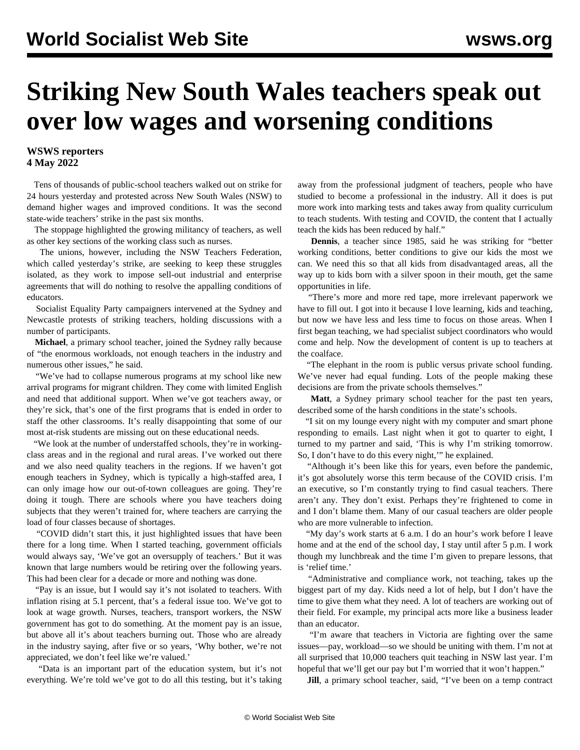## **Striking New South Wales teachers speak out over low wages and worsening conditions**

## **WSWS reporters 4 May 2022**

 Tens of thousands of public-school teachers [walked out on strike](/en/articles/2022/05/05/nswt-m05.html) for 24 hours yesterday and protested across New South Wales (NSW) to demand higher wages and improved conditions. It was the second state-wide teachers' strike in the past six months.

 The stoppage highlighted the growing militancy of teachers, as well as other key sections of the working class such as nurses.

 The unions, however, including the NSW Teachers Federation, which called yesterday's strike, are seeking to keep these struggles isolated, as they work to impose sell-out industrial and enterprise agreements that will do nothing to resolve the appalling conditions of educators.

 Socialist Equality Party campaigners intervened at the Sydney and Newcastle protests of striking teachers, holding discussions with a number of participants.

 **Michael**, a primary school teacher, joined the Sydney rally because of "the enormous workloads, not enough teachers in the industry and numerous other issues," he said.

 "We've had to collapse numerous programs at my school like new arrival programs for migrant children. They come with limited English and need that additional support. When we've got teachers away, or they're sick, that's one of the first programs that is ended in order to staff the other classrooms. It's really disappointing that some of our most at-risk students are missing out on these educational needs.

 "We look at the number of understaffed schools, they're in workingclass areas and in the regional and rural areas. I've worked out there and we also need quality teachers in the regions. If we haven't got enough teachers in Sydney, which is typically a high-staffed area, I can only image how our out-of-town colleagues are going. They're doing it tough. There are schools where you have teachers doing subjects that they weren't trained for, where teachers are carrying the load of four classes because of shortages.

 "COVID didn't start this, it just highlighted issues that have been there for a long time. When I started teaching, government officials would always say, 'We've got an oversupply of teachers.' But it was known that large numbers would be retiring over the following years. This had been clear for a decade or more and nothing was done.

 "Pay is an issue, but I would say it's not isolated to teachers. With inflation rising at 5.1 percent, that's a federal issue too. We've got to look at wage growth. Nurses, teachers, transport workers, the NSW government has got to do something. At the moment pay is an issue, but above all it's about teachers burning out. Those who are already in the industry saying, after five or so years, 'Why bother, we're not appreciated, we don't feel like we're valued.'

 "Data is an important part of the education system, but it's not everything. We're told we've got to do all this testing, but it's taking

away from the professional judgment of teachers, people who have studied to become a professional in the industry. All it does is put more work into marking tests and takes away from quality curriculum to teach students. With testing and COVID, the content that I actually teach the kids has been reduced by half."

 **Dennis**, a teacher since 1985, said he was striking for "better working conditions, better conditions to give our kids the most we can. We need this so that all kids from disadvantaged areas, all the way up to kids born with a silver spoon in their mouth, get the same opportunities in life.

 "There's more and more red tape, more irrelevant paperwork we have to fill out. I got into it because I love learning, kids and teaching, but now we have less and less time to focus on those areas. When I first began teaching, we had specialist subject coordinators who would come and help. Now the development of content is up to teachers at the coalface.

 "The elephant in the room is public versus private school funding. We've never had equal funding. Lots of the people making these decisions are from the private schools themselves."

 **Matt**, a Sydney primary school teacher for the past ten years, described some of the harsh conditions in the state's schools.

 "I sit on my lounge every night with my computer and smart phone responding to emails. Last night when it got to quarter to eight, I turned to my partner and said, 'This is why I'm striking tomorrow. So, I don't have to do this every night,'" he explained.

 "Although it's been like this for years, even before the pandemic, it's got absolutely worse this term because of the COVID crisis. I'm an executive, so I'm constantly trying to find casual teachers. There aren't any. They don't exist. Perhaps they're frightened to come in and I don't blame them. Many of our casual teachers are older people who are more vulnerable to infection.

 "My day's work starts at 6 a.m. I do an hour's work before I leave home and at the end of the school day, I stay until after 5 p.m. I work though my lunchbreak and the time I'm given to prepare lessons, that is 'relief time.'

 "Administrative and compliance work, not teaching, takes up the biggest part of my day. Kids need a lot of help, but I don't have the time to give them what they need. A lot of teachers are working out of their field. For example, my principal acts more like a business leader than an educator.

 "I'm aware that teachers in Victoria are fighting over the same issues—pay, workload—so we should be uniting with them. I'm not at all surprised that 10,000 teachers quit teaching in NSW last year. I'm hopeful that we'll get our pay but I'm worried that it won't happen."

**Jill**, a primary school teacher, said, "I've been on a temp contract